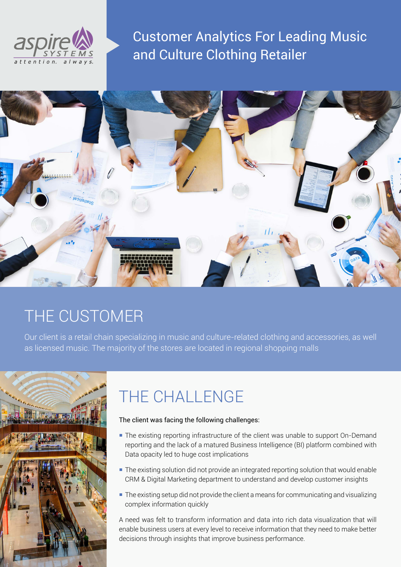

Customer Analytics For Leading Music and Culture Clothing Retailer



# THE CUSTOMER

Our client is a retail chain specializing in music and culture-related clothing and accessories, as well as licensed music. The majority of the stores are located in regional shopping malls



# THE CHALLENGE

#### The client was facing the following challenges:

- The existing reporting infrastructure of the client was unable to support On-Demand reporting and the lack of a matured Business Intelligence (BI) platform combined with Data opacity led to huge cost implications
- The existing solution did not provide an integrated reporting solution that would enable CRM & Digital Marketing department to understand and develop customer insights
- **The existing setup did not provide the client a means for communicating and visualizing** complex information quickly

A need was felt to transform information and data into rich data visualization that will enable business users at every level to receive information that they need to make better decisions through insights that improve business performance.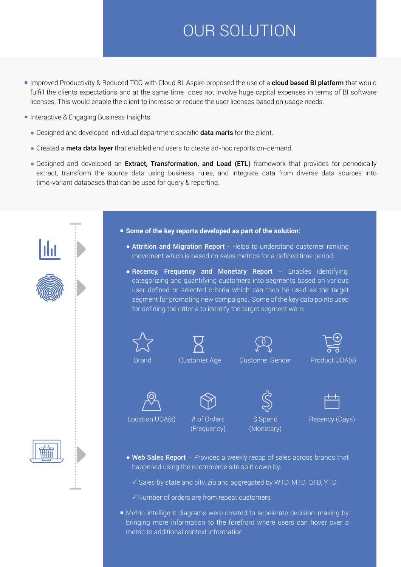# OUR SOLUTION

- Improved Productivity & Reduced TCO with Cloud BI: Aspire proposed the use of a **cloud based BI platform** that would fulfill the clients expectations and at the same time does not involve huge capital expenses in terms of BI software licenses. This would enable the client to increase or reduce the user licenses based on usage needs.
- **Interactive & Engaging Business Insights:** 
	- Designed and developed individual department specific **data marts** for the client.
	- Created a **meta data layer** that enabled end users to create ad-hoc reports on-demand.
	- Designed and developed an Extract, Transformation, and Load (ETL) framework that provides for periodically extract, transform the source data using business rules, and integrate data from diverse data sources into time-variant databases that can be used for query & reporting.



- **Some of the key reports developed as part of the solution:**
	- Attrition and Migration Report Helps to understand customer ranking movement which is based on sales metrics for a defined time period.
	- Recency, Frequency and Monetary Report Enables identifying, categorizing and quantifying customers into segments based on various user-defined or selected criteria which can then be used as the target segment for promoting new campaigns. Some of the key data points used for defining the criteria to identify the target segment were:















Location UDA(s) # of Orders (Frequency)

\$ Spend (Monetary)

Recency (Days)

- $\bullet$  Web Sales Report Provides a weekly recap of sales across brands that happened using the ecommerce site split down by:
	- $\checkmark$  Sales by state and city, zip and aggregated by WTD, MTD, QTD, YTD
	- $\checkmark$  Number of orders are from repeat customers
- Metric-intelligent diagrams were created to accelerate decision-making by bringing more information to the forefront where users can hover over a metric to additional context information